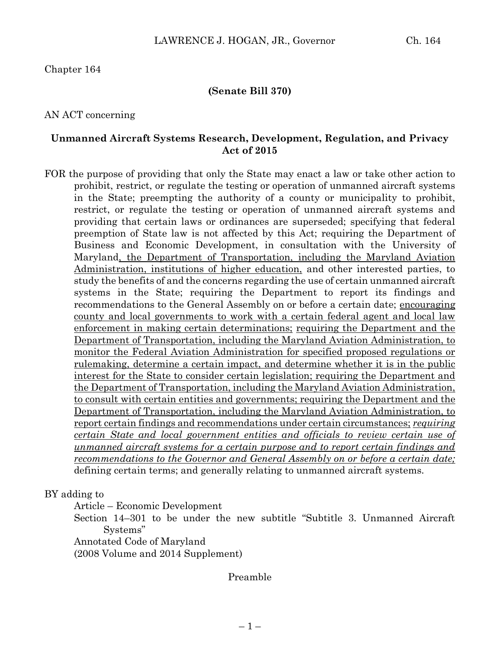#### **(Senate Bill 370)**

#### AN ACT concerning

#### **Unmanned Aircraft Systems Research, Development, Regulation, and Privacy Act of 2015**

FOR the purpose of providing that only the State may enact a law or take other action to prohibit, restrict, or regulate the testing or operation of unmanned aircraft systems in the State; preempting the authority of a county or municipality to prohibit, restrict, or regulate the testing or operation of unmanned aircraft systems and providing that certain laws or ordinances are superseded; specifying that federal preemption of State law is not affected by this Act; requiring the Department of Business and Economic Development, in consultation with the University of Maryland, the Department of Transportation, including the Maryland Aviation Administration, institutions of higher education, and other interested parties, to study the benefits of and the concerns regarding the use of certain unmanned aircraft systems in the State; requiring the Department to report its findings and recommendations to the General Assembly on or before a certain date; encouraging county and local governments to work with a certain federal agent and local law enforcement in making certain determinations; requiring the Department and the Department of Transportation, including the Maryland Aviation Administration, to monitor the Federal Aviation Administration for specified proposed regulations or rulemaking, determine a certain impact, and determine whether it is in the public interest for the State to consider certain legislation; requiring the Department and the Department of Transportation, including the Maryland Aviation Administration, to consult with certain entities and governments; requiring the Department and the Department of Transportation, including the Maryland Aviation Administration, to report certain findings and recommendations under certain circumstances; *requiring certain State and local government entities and officials to review certain use of unmanned aircraft systems for a certain purpose and to report certain findings and recommendations to the Governor and General Assembly on or before a certain date;* defining certain terms; and generally relating to unmanned aircraft systems.

BY adding to

Article – Economic Development

Section 14–301 to be under the new subtitle "Subtitle 3. Unmanned Aircraft Systems"

Annotated Code of Maryland

(2008 Volume and 2014 Supplement)

Preamble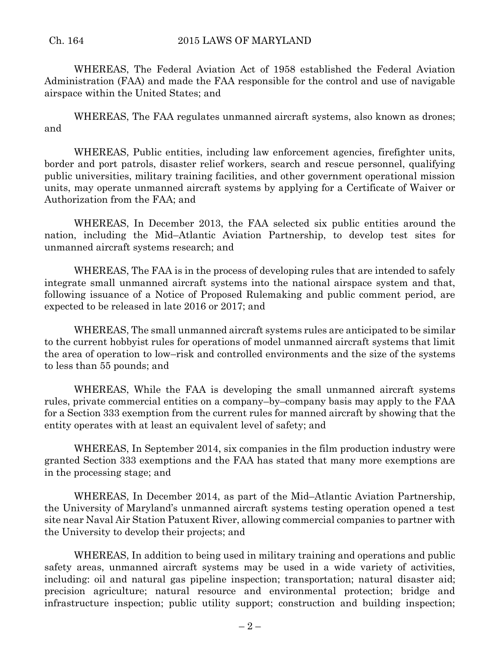WHEREAS, The Federal Aviation Act of 1958 established the Federal Aviation Administration (FAA) and made the FAA responsible for the control and use of navigable airspace within the United States; and

WHEREAS, The FAA regulates unmanned aircraft systems, also known as drones; and

WHEREAS, Public entities, including law enforcement agencies, firefighter units, border and port patrols, disaster relief workers, search and rescue personnel, qualifying public universities, military training facilities, and other government operational mission units, may operate unmanned aircraft systems by applying for a Certificate of Waiver or Authorization from the FAA; and

WHEREAS, In December 2013, the FAA selected six public entities around the nation, including the Mid–Atlantic Aviation Partnership, to develop test sites for unmanned aircraft systems research; and

WHEREAS, The FAA is in the process of developing rules that are intended to safely integrate small unmanned aircraft systems into the national airspace system and that, following issuance of a Notice of Proposed Rulemaking and public comment period, are expected to be released in late 2016 or 2017; and

WHEREAS, The small unmanned aircraft systems rules are anticipated to be similar to the current hobbyist rules for operations of model unmanned aircraft systems that limit the area of operation to low–risk and controlled environments and the size of the systems to less than 55 pounds; and

WHEREAS, While the FAA is developing the small unmanned aircraft systems rules, private commercial entities on a company–by–company basis may apply to the FAA for a Section 333 exemption from the current rules for manned aircraft by showing that the entity operates with at least an equivalent level of safety; and

WHEREAS, In September 2014, six companies in the film production industry were granted Section 333 exemptions and the FAA has stated that many more exemptions are in the processing stage; and

WHEREAS, In December 2014, as part of the Mid–Atlantic Aviation Partnership, the University of Maryland's unmanned aircraft systems testing operation opened a test site near Naval Air Station Patuxent River, allowing commercial companies to partner with the University to develop their projects; and

WHEREAS, In addition to being used in military training and operations and public safety areas, unmanned aircraft systems may be used in a wide variety of activities, including: oil and natural gas pipeline inspection; transportation; natural disaster aid; precision agriculture; natural resource and environmental protection; bridge and infrastructure inspection; public utility support; construction and building inspection;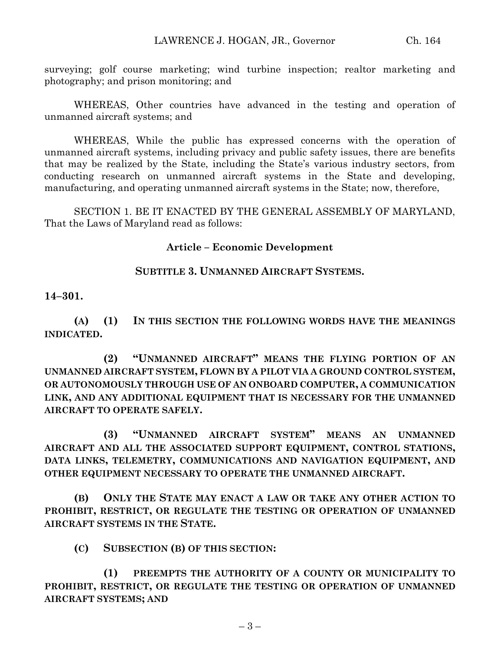surveying; golf course marketing; wind turbine inspection; realtor marketing and photography; and prison monitoring; and

WHEREAS, Other countries have advanced in the testing and operation of unmanned aircraft systems; and

WHEREAS, While the public has expressed concerns with the operation of unmanned aircraft systems, including privacy and public safety issues, there are benefits that may be realized by the State, including the State's various industry sectors, from conducting research on unmanned aircraft systems in the State and developing, manufacturing, and operating unmanned aircraft systems in the State; now, therefore,

SECTION 1. BE IT ENACTED BY THE GENERAL ASSEMBLY OF MARYLAND, That the Laws of Maryland read as follows:

## **Article – Economic Development**

## **SUBTITLE 3. UNMANNED AIRCRAFT SYSTEMS.**

#### **14–301.**

**(A) (1) IN THIS SECTION THE FOLLOWING WORDS HAVE THE MEANINGS INDICATED.**

**(2) "UNMANNED AIRCRAFT" MEANS THE FLYING PORTION OF AN UNMANNED AIRCRAFT SYSTEM, FLOWN BY A PILOT VIA A GROUND CONTROL SYSTEM, OR AUTONOMOUSLY THROUGH USE OF AN ONBOARD COMPUTER, A COMMUNICATION LINK, AND ANY ADDITIONAL EQUIPMENT THAT IS NECESSARY FOR THE UNMANNED AIRCRAFT TO OPERATE SAFELY.**

**(3) "UNMANNED AIRCRAFT SYSTEM" MEANS AN UNMANNED AIRCRAFT AND ALL THE ASSOCIATED SUPPORT EQUIPMENT, CONTROL STATIONS, DATA LINKS, TELEMETRY, COMMUNICATIONS AND NAVIGATION EQUIPMENT, AND OTHER EQUIPMENT NECESSARY TO OPERATE THE UNMANNED AIRCRAFT.**

**(B) ONLY THE STATE MAY ENACT A LAW OR TAKE ANY OTHER ACTION TO PROHIBIT, RESTRICT, OR REGULATE THE TESTING OR OPERATION OF UNMANNED AIRCRAFT SYSTEMS IN THE STATE.**

**(C) SUBSECTION (B) OF THIS SECTION:**

**(1) PREEMPTS THE AUTHORITY OF A COUNTY OR MUNICIPALITY TO PROHIBIT, RESTRICT, OR REGULATE THE TESTING OR OPERATION OF UNMANNED AIRCRAFT SYSTEMS; AND**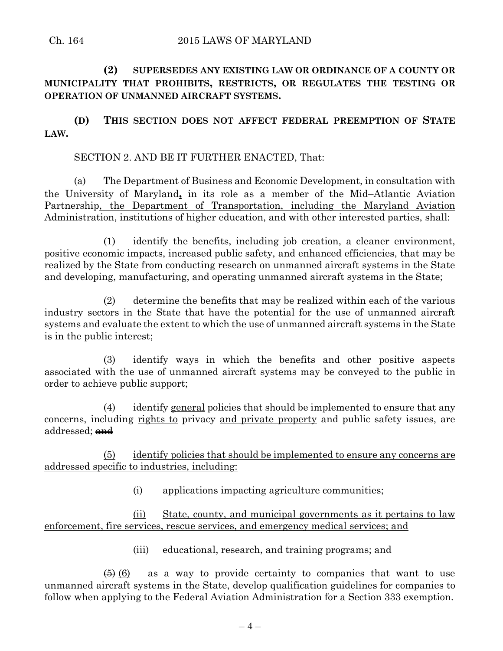#### Ch. 164 2015 LAWS OF MARYLAND

# **(2) SUPERSEDES ANY EXISTING LAW OR ORDINANCE OF A COUNTY OR MUNICIPALITY THAT PROHIBITS, RESTRICTS, OR REGULATES THE TESTING OR OPERATION OF UNMANNED AIRCRAFT SYSTEMS.**

**(D) THIS SECTION DOES NOT AFFECT FEDERAL PREEMPTION OF STATE LAW.**

## SECTION 2. AND BE IT FURTHER ENACTED, That:

(a) The Department of Business and Economic Development, in consultation with the University of Maryland**,** in its role as a member of the Mid–Atlantic Aviation Partnership, the Department of Transportation, including the Maryland Aviation Administration, institutions of higher education, and with other interested parties, shall:

(1) identify the benefits, including job creation, a cleaner environment, positive economic impacts, increased public safety, and enhanced efficiencies, that may be realized by the State from conducting research on unmanned aircraft systems in the State and developing, manufacturing, and operating unmanned aircraft systems in the State;

(2) determine the benefits that may be realized within each of the various industry sectors in the State that have the potential for the use of unmanned aircraft systems and evaluate the extent to which the use of unmanned aircraft systems in the State is in the public interest;

(3) identify ways in which the benefits and other positive aspects associated with the use of unmanned aircraft systems may be conveyed to the public in order to achieve public support;

(4) identify general policies that should be implemented to ensure that any concerns, including rights to privacy and private property and public safety issues, are addressed; and

(5) identify policies that should be implemented to ensure any concerns are addressed specific to industries, including:

(i) applications impacting agriculture communities;

(ii) State, county, and municipal governments as it pertains to law enforcement, fire services, rescue services, and emergency medical services; and

## (iii) educational, research, and training programs; and

 $\left(6\right)$  as a way to provide certainty to companies that want to use unmanned aircraft systems in the State, develop qualification guidelines for companies to follow when applying to the Federal Aviation Administration for a Section 333 exemption.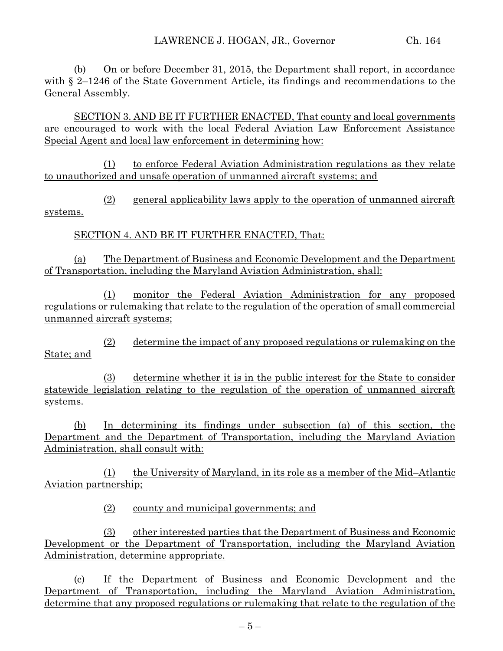(b) On or before December 31, 2015, the Department shall report, in accordance with § 2–1246 of the State Government Article, its findings and recommendations to the General Assembly.

SECTION 3. AND BE IT FURTHER ENACTED, That county and local governments are encouraged to work with the local Federal Aviation Law Enforcement Assistance Special Agent and local law enforcement in determining how:

(1) to enforce Federal Aviation Administration regulations as they relate to unauthorized and unsafe operation of unmanned aircraft systems; and

(2) general applicability laws apply to the operation of unmanned aircraft systems.

SECTION 4. AND BE IT FURTHER ENACTED, That:

(a) The Department of Business and Economic Development and the Department of Transportation, including the Maryland Aviation Administration, shall:

(1) monitor the Federal Aviation Administration for any proposed regulations or rulemaking that relate to the regulation of the operation of small commercial unmanned aircraft systems;

(2) determine the impact of any proposed regulations or rulemaking on the State; and

(3) determine whether it is in the public interest for the State to consider statewide legislation relating to the regulation of the operation of unmanned aircraft systems.

(b) In determining its findings under subsection (a) of this section, the Department and the Department of Transportation, including the Maryland Aviation Administration, shall consult with:

(1) the University of Maryland, in its role as a member of the Mid–Atlantic Aviation partnership;

(2) county and municipal governments; and

(3) other interested parties that the Department of Business and Economic Development or the Department of Transportation, including the Maryland Aviation Administration, determine appropriate.

(c) If the Department of Business and Economic Development and the Department of Transportation, including the Maryland Aviation Administration, determine that any proposed regulations or rulemaking that relate to the regulation of the